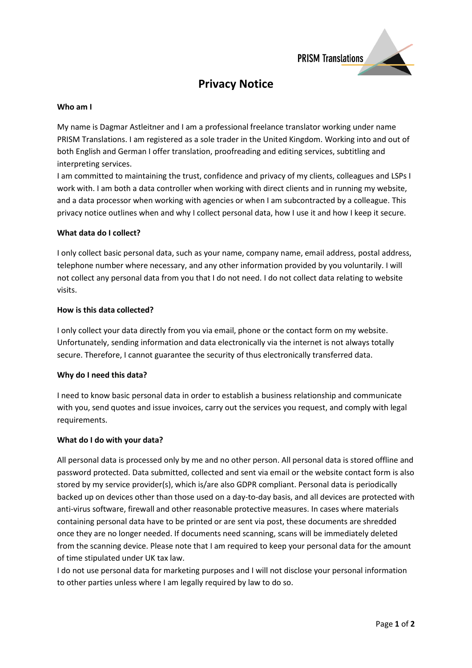**PRISM Translations** 

# **Privacy Notice**

### **Who am I**

My name is Dagmar Astleitner and I am a professional freelance translator working under name PRISM Translations. I am registered as a sole trader in the United Kingdom. Working into and out of both English and German I offer translation, proofreading and editing services, subtitling and interpreting services.

I am committed to maintaining the trust, confidence and privacy of my clients, colleagues and LSPs I work with. I am both a data controller when working with direct clients and in running my website, and a data processor when working with agencies or when I am subcontracted by a colleague. This privacy notice outlines when and why I collect personal data, how I use it and how I keep it secure.

#### **What data do I collect?**

I only collect basic personal data, such as your name, company name, email address, postal address, telephone number where necessary, and any other information provided by you voluntarily. I will not collect any personal data from you that I do not need. I do not collect data relating to website visits.

# **How is this data collected?**

I only collect your data directly from you via email, phone or the contact form on my website. Unfortunately, sending information and data electronically via the internet is not always totally secure. Therefore, I cannot guarantee the security of thus electronically transferred data.

## **Why do I need this data?**

I need to know basic personal data in order to establish a business relationship and communicate with you, send quotes and issue invoices, carry out the services you request, and comply with legal requirements.

## **What do I do with your data?**

All personal data is processed only by me and no other person. All personal data is stored offline and password protected. Data submitted, collected and sent via email or the website contact form is also stored by my service provider(s), which is/are also GDPR compliant. Personal data is periodically backed up on devices other than those used on a day-to-day basis, and all devices are protected with anti-virus software, firewall and other reasonable protective measures. In cases where materials containing personal data have to be printed or are sent via post, these documents are shredded once they are no longer needed. If documents need scanning, scans will be immediately deleted from the scanning device. Please note that I am required to keep your personal data for the amount of time stipulated under UK tax law.

I do not use personal data for marketing purposes and I will not disclose your personal information to other parties unless where I am legally required by law to do so.